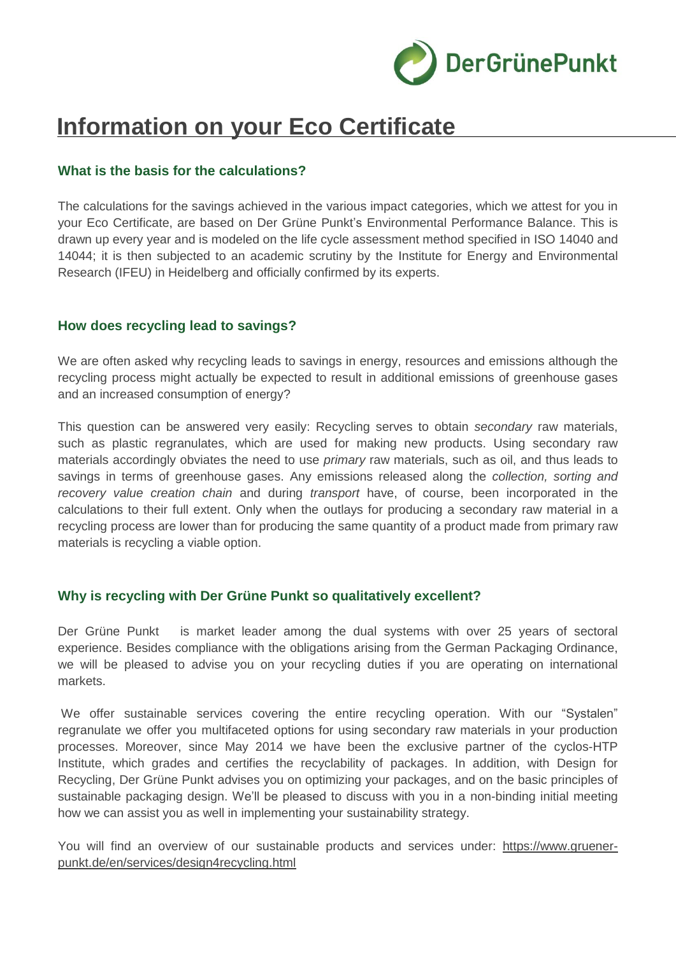

# **Information on your Eco Certificate**

# **What is the basis for the calculations?**

The calculations for the savings achieved in the various impact categories, which we attest for you in your Eco Certificate, are based on Der Grüne Punkt's Environmental Performance Balance. This is drawn up every year and is modeled on the life cycle assessment method specified in ISO 14040 and 14044; it is then subjected to an academic scrutiny by the Institute for Energy and Environmental Research (IFEU) in Heidelberg and officially confirmed by its experts.

#### **How does recycling lead to savings?**

We are often asked why recycling leads to savings in energy, resources and emissions although the recycling process might actually be expected to result in additional emissions of greenhouse gases and an increased consumption of energy?

This question can be answered very easily: Recycling serves to obtain *secondary* raw materials, such as plastic regranulates, which are used for making new products. Using secondary raw materials accordingly obviates the need to use *primary* raw materials, such as oil, and thus leads to savings in terms of greenhouse gases. Any emissions released along the *collection, sorting and recovery value creation chain* and during *transport* have, of course, been incorporated in the calculations to their full extent. Only when the outlays for producing a secondary raw material in a recycling process are lower than for producing the same quantity of a product made from primary raw materials is recycling a viable option.

## **Why is recycling with Der Grüne Punkt so qualitatively excellent?**

Der Grüne Punkt is market leader among the dual systems with over 25 years of sectoral experience. Besides compliance with the obligations arising from the German Packaging Ordinance, we will be pleased to advise you on your recycling duties if you are operating on international markets.

We offer sustainable services covering the entire recycling operation. With our "Systalen" regranulate we offer you multifaceted options for using secondary raw materials in your production processes. Moreover, since May 2014 we have been the exclusive partner of the cyclos-HTP Institute, which grades and certifies the recyclability of packages. In addition, with Design for Recycling, Der Grüne Punkt advises you on optimizing your packages, and on the basic principles of sustainable packaging design. We'll be pleased to discuss with you in a non-binding initial meeting how we can assist you as well in implementing your sustainability strategy.

You will find an overview of our sustainable products and services under: [https://www.gruener](https://www.gruener-punkt.de/en/services/design4recycling.html)[punkt.de/en/services/design4recycling.html](https://www.gruener-punkt.de/en/services/design4recycling.html)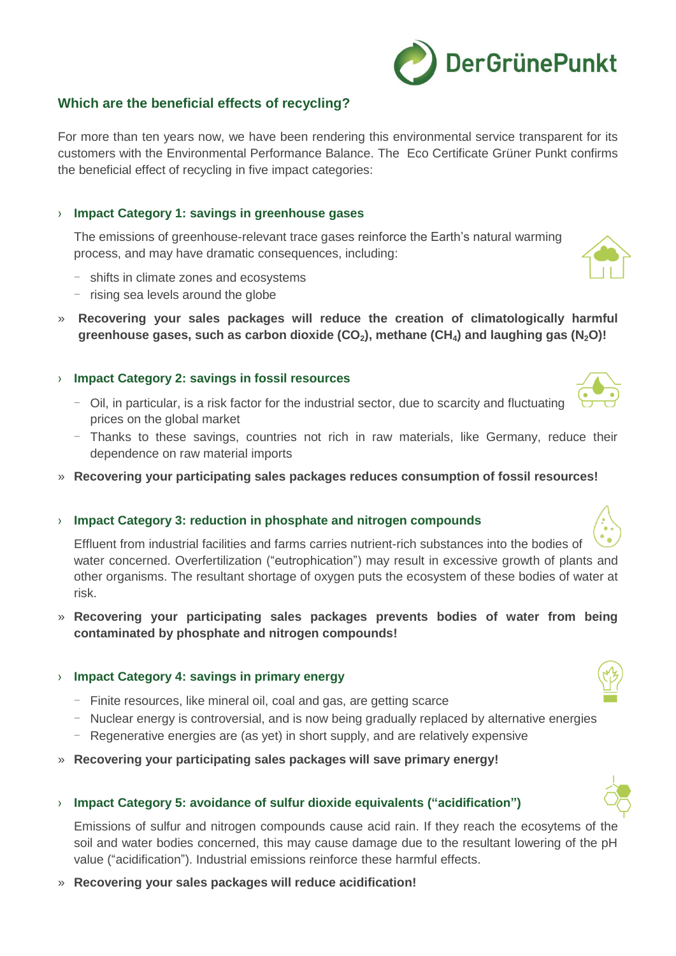

# **Which are the beneficial effects of recycling?**

For more than ten years now, we have been rendering this environmental service transparent for its customers with the Environmental Performance Balance. The Eco Certificate Grüner Punkt confirms the beneficial effect of recycling in five impact categories:

#### › **Impact Category 1: savings in greenhouse gases**

The emissions of greenhouse-relevant trace gases reinforce the Earth's natural warming process, and may have dramatic consequences, including:

- shifts in climate zones and ecosystems
- rising sea levels around the globe
- » **Recovering your sales packages will reduce the creation of climatologically harmful greenhouse gases, such as carbon dioxide (CO2), methane (CH4) and laughing gas (N2O)!**

#### › **Impact Category 2: savings in fossil resources**

- Oil, in particular, is a risk factor for the industrial sector, due to scarcity and fluctuating prices on the global market
- Thanks to these savings, countries not rich in raw materials, like Germany, reduce their dependence on raw material imports
- » **Recovering your participating sales packages reduces consumption of fossil resources!**

#### › **Impact Category 3: reduction in phosphate and nitrogen compounds**

Effluent from industrial facilities and farms carries nutrient-rich substances into the bodies of water concerned. Overfertilization ("eutrophication") may result in excessive growth of plants and other organisms. The resultant shortage of oxygen puts the ecosystem of these bodies of water at risk.

» **Recovering your participating sales packages prevents bodies of water from being contaminated by phosphate and nitrogen compounds!**

#### › **Impact Category 4: savings in primary energy**

- Finite resources, like mineral oil, coal and gas, are getting scarce
- Nuclear energy is controversial, and is now being gradually replaced by alternative energies
- Regenerative energies are (as yet) in short supply, and are relatively expensive
- » **Recovering your participating sales packages will save primary energy!**

#### › **Impact Category 5: avoidance of sulfur dioxide equivalents ("acidification")**

Emissions of sulfur and nitrogen compounds cause acid rain. If they reach the ecosytems of the soil and water bodies concerned, this may cause damage due to the resultant lowering of the pH value ("acidification"). Industrial emissions reinforce these harmful effects.

» **Recovering your sales packages will reduce acidification!**